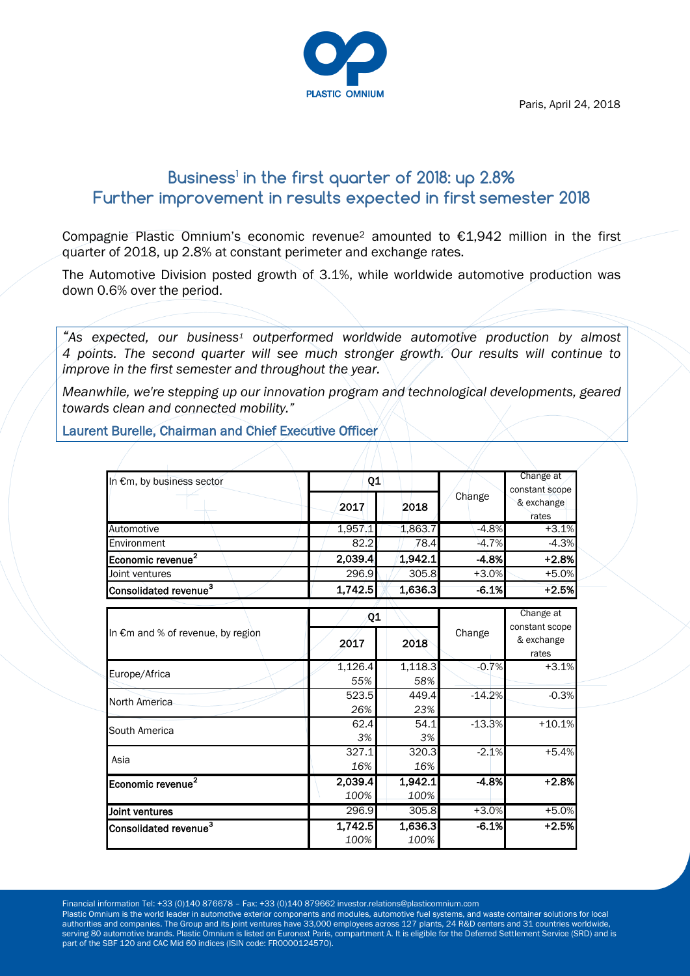Paris, April 24, 2018



# **Business<sup>1</sup> in the first quarter of 2018: up 2.8% Further improvement in results expected in first semester 2018**

Compagnie Plastic Omnium's economic revenue<sup>2</sup> amounted to €1,942 million in the first quarter of 2018, up 2.8% at constant perimeter and exchange rates.

The Automotive Division posted growth of 3.1%, while worldwide automotive production was down 0.6% over the period.

*"As expected, our business<sup>1</sup> outperformed worldwide automotive production by almost 4 points. The second quarter will see much stronger growth. Our results will continue to improve in the first semester and throughout the year.* 

*Meanwhile, we're stepping up our innovation program and technological developments, geared towards clean and connected mobility."*

Laurent Burelle, Chairman and Chief Executive Officer

| In €m, by business sector         | Q1      |         |          | Change at<br>constant scope |
|-----------------------------------|---------|---------|----------|-----------------------------|
|                                   | 2017    | 2018    | Change   | & exchange<br>rates         |
| Automotive                        | 1,957.1 | 1,863.7 | $-4.8%$  | $+3.1%$                     |
| Environment                       | 82.2    | 78.4    | $-4.7%$  | $-4.3%$                     |
| Economic revenue <sup>2</sup>     | 2,039.4 | 1,942.1 | $-4.8%$  | $+2.8%$                     |
| Joint ventures                    | 296.9   | 305.8   | $+3.0%$  | $+5.0%$                     |
| Consolidated revenue <sup>3</sup> | 1,742.5 | 1,636.3 | $-6.1%$  | $+2.5%$                     |
|                                   |         |         |          | Change at                   |
| In €m and % of revenue, by region | Q1      |         |          | constant scope              |
|                                   | 2017    | 2018    | Change   | & exchange<br>rates         |
| Europe/Africa                     | 1,126.4 | 1,118.3 | $-0.7%$  | $+3.1%$                     |
|                                   | 55%     | 58%     |          |                             |
| North America                     | 523.5   | 449.4   | $-14.2%$ | $-0.3%$                     |
|                                   | 26%     | 23%     |          |                             |
| South America                     | 62.4    | 54.1    | $-13.3%$ | $+10.1%$                    |
|                                   | 3%      | 3%      |          |                             |
| Asia                              | 327.1   | 320.3   | $-2.1%$  | $+5.4%$                     |
|                                   | 16%     | 16%     |          |                             |
| Economic revenue <sup>2</sup>     | 2,039.4 | 1,942.1 | $-4.8%$  | $+2.8%$                     |
|                                   | 100%    | 100%    |          |                             |
| Joint ventures                    | 296.9   | 305.8   | $+3.0%$  | $+5.0%$                     |
| Consolidated revenue <sup>3</sup> | 1,742.5 | 1,636.3 | $-6.1%$  | $+2.5%$                     |
|                                   | 100%    | 100%    |          |                             |

Financial information Tel: +33 (0)140 876678 – Fax: +33 (0)140 879662 investor.relations@plasticomnium.com

Plastic Omnium is the world leader in automotive exterior components and modules, automotive fuel systems, and waste container solutions for local authorities and companies. The Group and its joint ventures have 33,000 employees across 127 plants, 24 R&D centers and 31 countries worldwide, serving 80 automotive brands. Plastic Omnium is listed on Euronext Paris, compartment A. It is eligible for the Deferred Settlement Service (SRD) and is part of the SBF 120 and CAC Mid 60 indices (ISIN code: FR0000124570).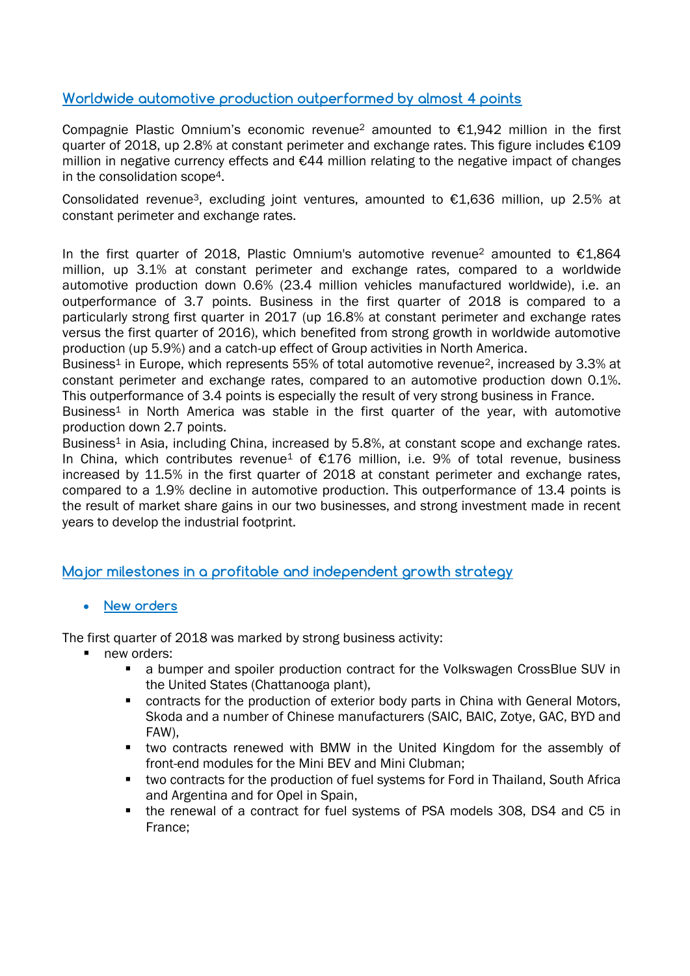### **Worldwide automotive production outperformed by almost 4 points**

Compagnie Plastic Omnium's economic revenue<sup>2</sup> amounted to  $£1.942$  million in the first quarter of 2018, up 2.8% at constant perimeter and exchange rates. This figure includes €109 million in negative currency effects and €44 million relating to the negative impact of changes in the consolidation scope4.

Consolidated revenue<sup>3</sup>, excluding joint ventures, amounted to  $\epsilon$ 1,636 million, up 2.5% at constant perimeter and exchange rates.

In the first quarter of 2018, Plastic Omnium's automotive revenue<sup>2</sup> amounted to  $E1.864$ million, up 3.1% at constant perimeter and exchange rates, compared to a worldwide automotive production down 0.6% (23.4 million vehicles manufactured worldwide), i.e. an outperformance of 3.7 points. Business in the first quarter of 2018 is compared to a particularly strong first quarter in 2017 (up 16.8% at constant perimeter and exchange rates versus the first quarter of 2016), which benefited from strong growth in worldwide automotive production (up 5.9%) and a catch-up effect of Group activities in North America.

Business<sup>1</sup> in Europe, which represents 55% of total automotive revenue<sup>2</sup>, increased by 3.3% at constant perimeter and exchange rates, compared to an automotive production down 0.1%. This outperformance of 3.4 points is especially the result of very strong business in France.

Business<sup>1</sup> in North America was stable in the first quarter of the year, with automotive production down 2.7 points.

Business<sup>1</sup> in Asia, including China, increased by 5.8%, at constant scope and exchange rates. In China, which contributes revenue<sup>1</sup> of  $E176$  million, i.e. 9% of total revenue, business increased by 11.5% in the first quarter of 2018 at constant perimeter and exchange rates, compared to a 1.9% decline in automotive production. This outperformance of 13.4 points is the result of market share gains in our two businesses, and strong investment made in recent years to develop the industrial footprint.

### **Major milestones in a profitable and independent growth strategy**

### **New orders**

The first quarter of 2018 was marked by strong business activity:

- new orders:
	- a bumper and spoiler production contract for the Volkswagen CrossBlue SUV in the United States (Chattanooga plant),
	- contracts for the production of exterior body parts in China with General Motors, Skoda and a number of Chinese manufacturers (SAIC, BAIC, Zotye, GAC, BYD and FAW),
	- two contracts renewed with BMW in the United Kingdom for the assembly of front-end modules for the Mini BEV and Mini Clubman;
	- two contracts for the production of fuel systems for Ford in Thailand, South Africa and Argentina and for Opel in Spain,
	- the renewal of a contract for fuel systems of PSA models 308, DS4 and C5 in France;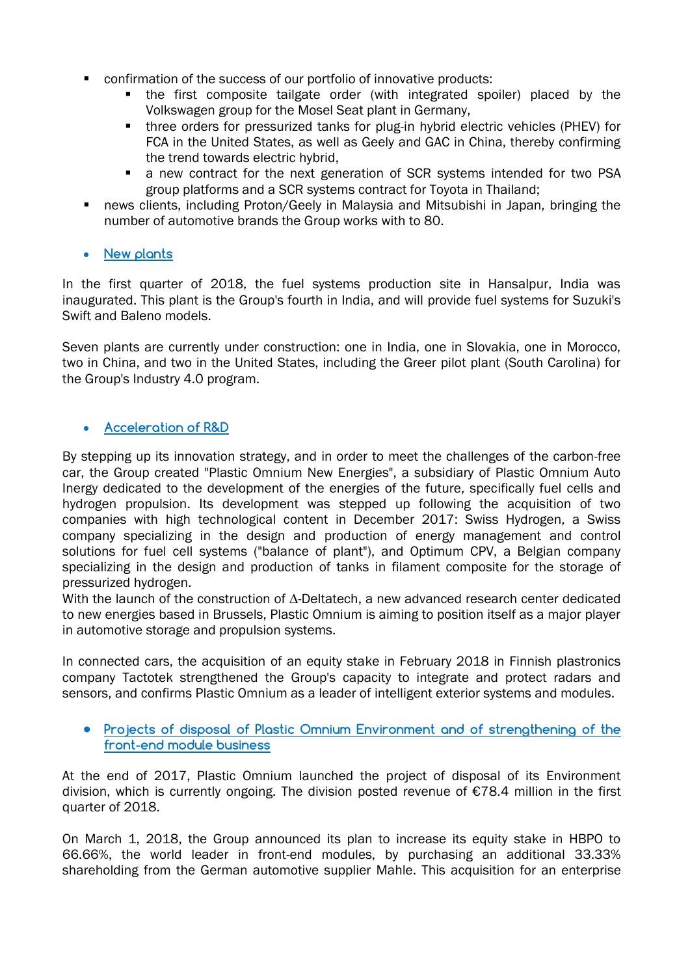- confirmation of the success of our portfolio of innovative products:
	- the first composite tailgate order (with integrated spoiler) placed by the Volkswagen group for the Mosel Seat plant in Germany,
	- three orders for pressurized tanks for plug-in hybrid electric vehicles (PHEV) for FCA in the United States, as well as Geely and GAC in China, thereby confirming the trend towards electric hybrid,
	- a new contract for the next generation of SCR systems intended for two PSA group platforms and a SCR systems contract for Toyota in Thailand;
- news clients, including Proton/Geely in Malaysia and Mitsubishi in Japan, bringing the number of automotive brands the Group works with to 80.
- **New plants**

In the first quarter of 2018, the fuel systems production site in Hansalpur, India was inaugurated. This plant is the Group's fourth in India, and will provide fuel systems for Suzuki's Swift and Baleno models.

Seven plants are currently under construction: one in India, one in Slovakia, one in Morocco, two in China, and two in the United States, including the Greer pilot plant (South Carolina) for the Group's Industry 4.0 program.

## **Acceleration of R&D**

By stepping up its innovation strategy, and in order to meet the challenges of the carbon-free car, the Group created "Plastic Omnium New Energies", a subsidiary of Plastic Omnium Auto Inergy dedicated to the development of the energies of the future, specifically fuel cells and hydrogen propulsion. Its development was stepped up following the acquisition of two companies with high technological content in December 2017: Swiss Hydrogen, a Swiss company specializing in the design and production of energy management and control solutions for fuel cell systems ("balance of plant"), and Optimum CPV, a Belgian company specializing in the design and production of tanks in filament composite for the storage of pressurized hydrogen.

With the launch of the construction of ∆-Deltatech, a new advanced research center dedicated to new energies based in Brussels, Plastic Omnium is aiming to position itself as a major player in automotive storage and propulsion systems.

In connected cars, the acquisition of an equity stake in February 2018 in Finnish plastronics company Tactotek strengthened the Group's capacity to integrate and protect radars and sensors, and confirms Plastic Omnium as a leader of intelligent exterior systems and modules.

### **Projects of disposal of Plastic Omnium Environment and of strengthening of the front-end module business**

At the end of 2017, Plastic Omnium launched the project of disposal of its Environment division, which is currently ongoing. The division posted revenue of €78.4 million in the first quarter of 2018.

On March 1, 2018, the Group announced its plan to increase its equity stake in HBPO to 66.66%, the world leader in front-end modules, by purchasing an additional 33.33% shareholding from the German automotive supplier Mahle. This acquisition for an enterprise